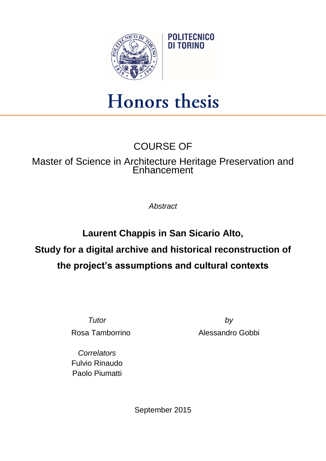

## Honors thesis

## COURSE OF

## Master of Science in Architecture Heritage Preservation and Enhancement

*Abstract*

**Laurent Chappis in San Sicario Alto, Study for a digital archive and historical reconstruction of the project's assumptions and cultural contexts**

*Tutor by* Rosa Tamborrino **Alessandro Gobbi** 

*Correlators* Fulvio Rinaudo Paolo Piumatti

September 2015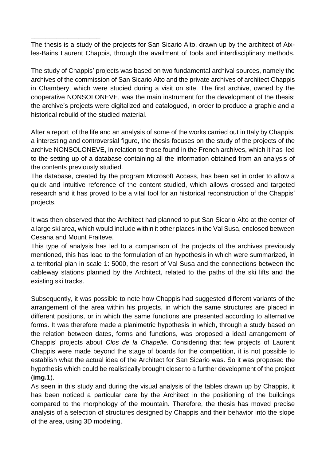The thesis is a study of the projects for San Sicario Alto, drawn up by the architect of Aixles-Bains Laurent Chappis, through the availment of tools and interdisciplinary methods.

\_\_\_\_\_\_\_\_\_\_\_\_\_\_\_\_\_\_\_

The study of Chappis' projects was based on two fundamental archival sources, namely the archives of the commission of San Sicario Alto and the private archives of architect Chappis in Chambery, which were studied during a visit on site. The first archive, owned by the cooperative NONSOLONEVE, was the main instrument for the development of the thesis; the archive's projects were digitalized and catalogued, in order to produce a graphic and a historical rebuild of the studied material.

After a report of the life and an analysis of some of the works carried out in Italy by Chappis, a interesting and controversial figure, the thesis focuses on the study of the projects of the archive NONSOLONEVE, in relation to those found in the French archives, which it has led to the setting up of a database containing all the information obtained from an analysis of the contents previously studied.

The database, created by the program Microsoft Access, has been set in order to allow a quick and intuitive reference of the content studied, which allows crossed and targeted research and it has proved to be a vital tool for an historical reconstruction of the Chappis' projects.

It was then observed that the Architect had planned to put San Sicario Alto at the center of a large ski area, which would include within it other places in the Val Susa, enclosed between Cesana and Mount Fraiteve.

This type of analysis has led to a comparison of the projects of the archives previously mentioned, this has lead to the formulation of an hypothesis in which were summarized, in a territorial plan in scale 1: 5000, the resort of Val Susa and the connections between the cableway stations planned by the Architect, related to the paths of the ski lifts and the existing ski tracks.

Subsequently, it was possible to note how Chappis had suggested different variants of the arrangement of the area within his projects, in which the same structures are placed in different positions, or in which the same functions are presented according to alternative forms. It was therefore made a planimetric hypothesis in which, through a study based on the relation between dates, forms and functions, was proposed a ideal arrangement of Chappis' projects about *Clos de la Chapelle*. Considering that few projects of Laurent Chappis were made beyond the stage of boards for the competition, it is not possible to establish what the actual idea of the Architect for San Sicario was. So it was proposed the hypothesis which could be realistically brought closer to a further development of the project (**img.1**).

As seen in this study and during the visual analysis of the tables drawn up by Chappis, it has been noticed a particular care by the Architect in the positioning of the buildings compared to the morphology of the mountain. Therefore, the thesis has moved precise analysis of a selection of structures designed by Chappis and their behavior into the slope of the area, using 3D modeling.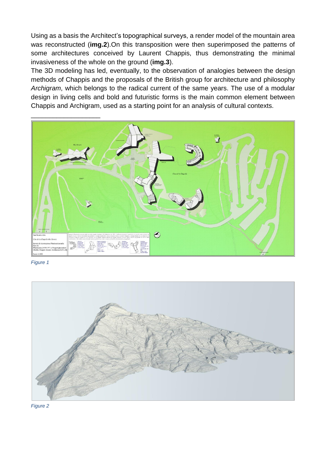Using as a basis the Architect's topographical surveys, a render model of the mountain area was reconstructed (**img.2**).On this transposition were then superimposed the patterns of some architectures conceived by Laurent Chappis, thus demonstrating the minimal invasiveness of the whole on the ground (**img.3**).

The 3D modeling has led, eventually, to the observation of analogies between the design methods of Chappis and the proposals of the British group for architecture and philosophy *Archigram*, which belongs to the radical current of the same years. The use of a modular design in living cells and bold and futuristic forms is the main common element between Chappis and Archigram, used as a starting point for an analysis of cultural contexts.



*Figure 1*